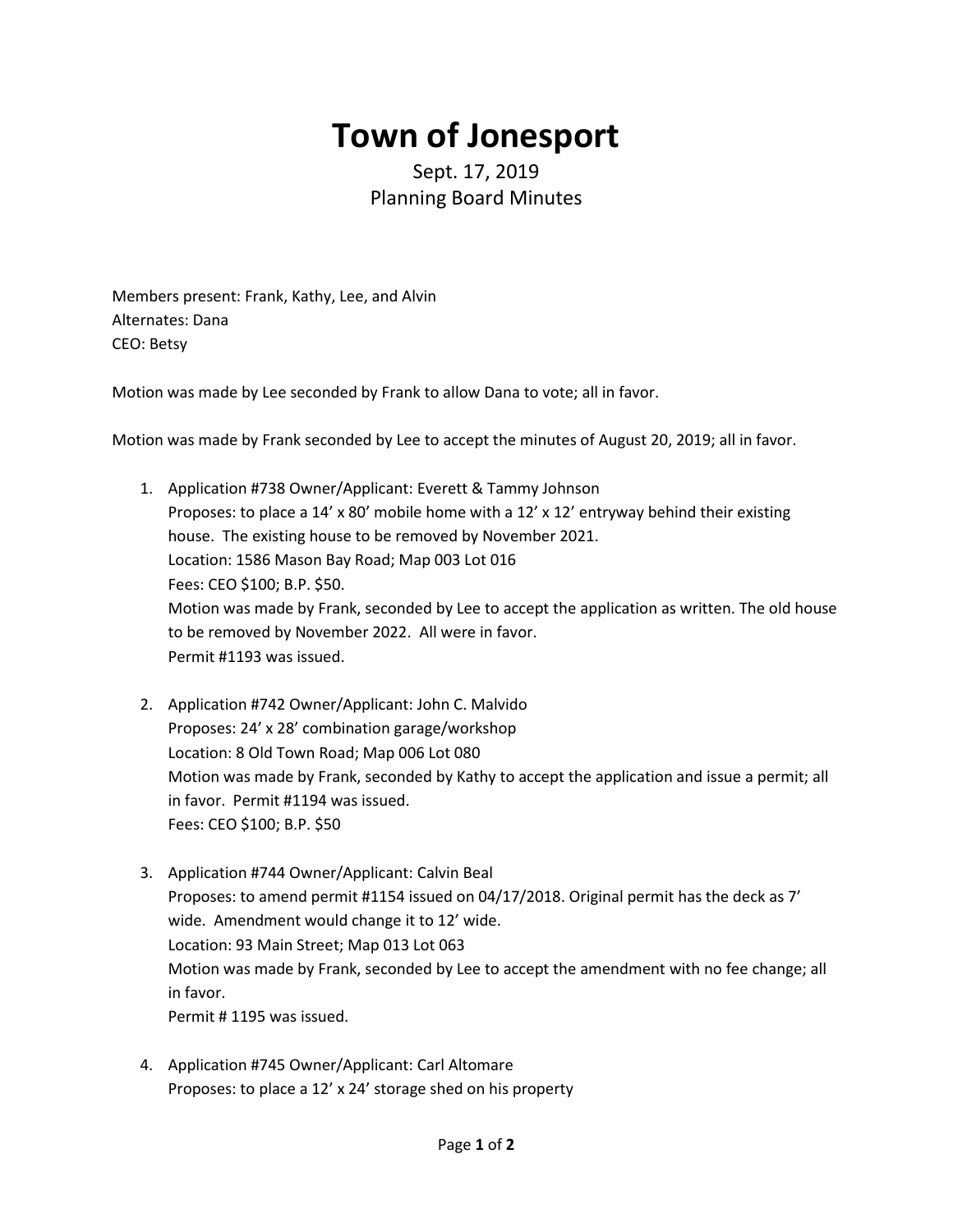## **Town of Jonesport**

## Sept. 17, 2019 Planning Board Minutes

Members present: Frank, Kathy, Lee, and Alvin Alternates: Dana CEO: Betsy

Motion was made by Lee seconded by Frank to allow Dana to vote; all in favor.

Motion was made by Frank seconded by Lee to accept the minutes of August 20, 2019; all in favor.

- 1. Application #738 Owner/Applicant: Everett & Tammy Johnson Proposes: to place a 14' x 80' mobile home with a 12' x 12' entryway behind their existing house. The existing house to be removed by November 2021. Location: 1586 Mason Bay Road; Map 003 Lot 016 Fees: CEO \$100; B.P. \$50. Motion was made by Frank, seconded by Lee to accept the application as written. The old house to be removed by November 2022. All were in favor. Permit #1193 was issued.
- 2. Application #742 Owner/Applicant: John C. Malvido Proposes: 24' x 28' combination garage/workshop Location: 8 Old Town Road; Map 006 Lot 080 Motion was made by Frank, seconded by Kathy to accept the application and issue a permit; all in favor. Permit #1194 was issued. Fees: CEO \$100; B.P. \$50
- 3. Application #744 Owner/Applicant: Calvin Beal Proposes: to amend permit #1154 issued on 04/17/2018. Original permit has the deck as 7' wide. Amendment would change it to 12' wide. Location: 93 Main Street; Map 013 Lot 063 Motion was made by Frank, seconded by Lee to accept the amendment with no fee change; all in favor. Permit # 1195 was issued.
- 4. Application #745 Owner/Applicant: Carl Altomare Proposes: to place a 12' x 24' storage shed on his property